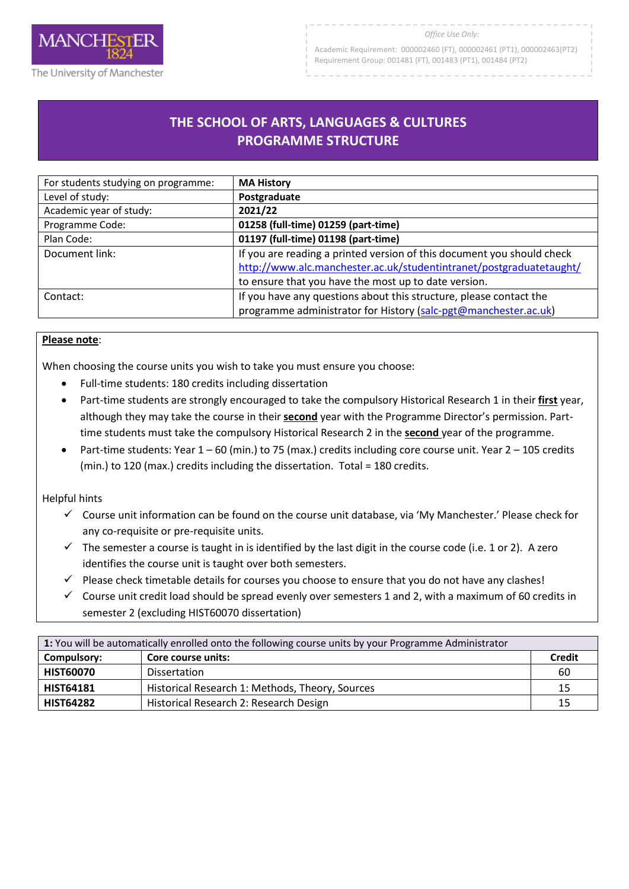

Academic Requirement: 000002460 (FT), 000002461 (PT1), 000002463(PT2) Requirement Group: 001481 (FT), 001483 (PT1), 001484 (PT2)

# **THE SCHOOL OF ARTS, LANGUAGES & CULTURES PROGRAMME STRUCTURE**

R

| For students studying on programme: | <b>MA History</b>                                                                                                                             |
|-------------------------------------|-----------------------------------------------------------------------------------------------------------------------------------------------|
| Level of study:                     | Postgraduate                                                                                                                                  |
| Academic year of study:             | 2021/22                                                                                                                                       |
| Programme Code:                     | 01258 (full-time) 01259 (part-time)                                                                                                           |
| Plan Code:                          | 01197 (full-time) 01198 (part-time)                                                                                                           |
| Document link:                      | If you are reading a printed version of this document you should check<br>http://www.alc.manchester.ac.uk/studentintranet/postgraduatetaught/ |
|                                     | to ensure that you have the most up to date version.                                                                                          |
| Contact:                            | If you have any questions about this structure, please contact the                                                                            |
|                                     | programme administrator for History (salc-pgt@manchester.ac.uk)                                                                               |

### **Please note**:

When choosing the course units you wish to take you must ensure you choose:

- Full-time students: 180 credits including dissertation
- Part-time students are strongly encouraged to take the compulsory Historical Research 1 in their **first** year, although they may take the course in their **second** year with the Programme Director's permission. Parttime students must take the compulsory Historical Research 2 in the **second** year of the programme.
- Part-time students: Year  $1 60$  (min.) to 75 (max.) credits including core course unit. Year  $2 105$  credits (min.) to 120 (max.) credits including the dissertation. Total = 180 credits.

#### Helpful hints

- $\checkmark$  Course unit information can be found on the course unit database, via 'My Manchester.' Please check for any co-requisite or pre-requisite units.
- $\checkmark$  The semester a course is taught in is identified by the last digit in the course code (i.e. 1 or 2). A zero identifies the course unit is taught over both semesters.
- Please check timetable details for courses you choose to ensure that you do not have any clashes!
- $\checkmark$  Course unit credit load should be spread evenly over semesters 1 and 2, with a maximum of 60 credits in semester 2 (excluding HIST60070 dissertation)

| 1: You will be automatically enrolled onto the following course units by your Programme Administrator |                                                 |               |
|-------------------------------------------------------------------------------------------------------|-------------------------------------------------|---------------|
| Compulsory:                                                                                           | Core course units:                              | <b>Credit</b> |
| <b>HIST60070</b>                                                                                      | <b>Dissertation</b>                             | 60            |
| <b>HIST64181</b>                                                                                      | Historical Research 1: Methods, Theory, Sources | 15            |
| <b>HIST64282</b>                                                                                      | Historical Research 2: Research Design          | 15            |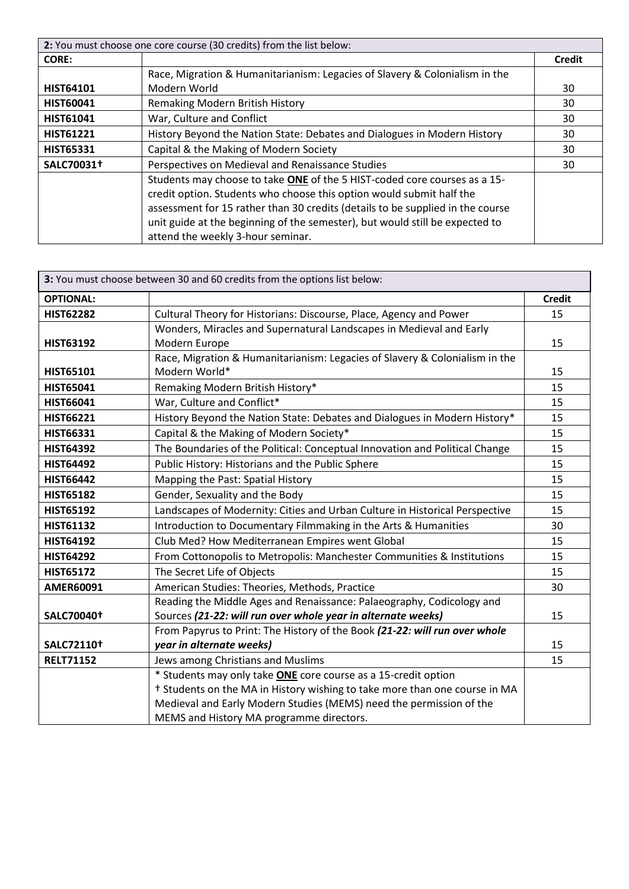| 2: You must choose one core course (30 credits) from the list below: |                                                                                |               |
|----------------------------------------------------------------------|--------------------------------------------------------------------------------|---------------|
| <b>CORE:</b>                                                         |                                                                                | <b>Credit</b> |
|                                                                      | Race, Migration & Humanitarianism: Legacies of Slavery & Colonialism in the    |               |
| <b>HIST64101</b>                                                     | Modern World                                                                   | 30            |
| <b>HIST60041</b>                                                     | Remaking Modern British History                                                | 30            |
| <b>HIST61041</b>                                                     | War, Culture and Conflict                                                      | 30            |
| <b>HIST61221</b>                                                     | History Beyond the Nation State: Debates and Dialogues in Modern History       | 30            |
| <b>HIST65331</b>                                                     | Capital & the Making of Modern Society                                         | 30            |
| SALC70031+                                                           | Perspectives on Medieval and Renaissance Studies                               | 30            |
|                                                                      | Students may choose to take ONE of the 5 HIST-coded core courses as a 15-      |               |
|                                                                      | credit option. Students who choose this option would submit half the           |               |
|                                                                      | assessment for 15 rather than 30 credits (details to be supplied in the course |               |
|                                                                      | unit guide at the beginning of the semester), but would still be expected to   |               |
|                                                                      | attend the weekly 3-hour seminar.                                              |               |

| 3: You must choose between 30 and 60 credits from the options list below: |                                                                             |               |
|---------------------------------------------------------------------------|-----------------------------------------------------------------------------|---------------|
| <b>OPTIONAL:</b>                                                          |                                                                             | <b>Credit</b> |
| <b>HIST62282</b>                                                          | Cultural Theory for Historians: Discourse, Place, Agency and Power          | 15            |
|                                                                           | Wonders, Miracles and Supernatural Landscapes in Medieval and Early         |               |
| <b>HIST63192</b>                                                          | Modern Europe                                                               | 15            |
|                                                                           | Race, Migration & Humanitarianism: Legacies of Slavery & Colonialism in the |               |
| HIST65101                                                                 | Modern World*                                                               | 15            |
| <b>HIST65041</b>                                                          | Remaking Modern British History*                                            | 15            |
| <b>HIST66041</b>                                                          | War, Culture and Conflict*                                                  | 15            |
| <b>HIST66221</b>                                                          | History Beyond the Nation State: Debates and Dialogues in Modern History*   | 15            |
| <b>HIST66331</b>                                                          | Capital & the Making of Modern Society*                                     | 15            |
| <b>HIST64392</b>                                                          | The Boundaries of the Political: Conceptual Innovation and Political Change | 15            |
| <b>HIST64492</b>                                                          | Public History: Historians and the Public Sphere                            | 15            |
| <b>HIST66442</b>                                                          | Mapping the Past: Spatial History                                           | 15            |
| <b>HIST65182</b>                                                          | Gender, Sexuality and the Body                                              | 15            |
| <b>HIST65192</b>                                                          | Landscapes of Modernity: Cities and Urban Culture in Historical Perspective | 15            |
| <b>HIST61132</b>                                                          | Introduction to Documentary Filmmaking in the Arts & Humanities             | 30            |
| <b>HIST64192</b>                                                          | Club Med? How Mediterranean Empires went Global                             | 15            |
| <b>HIST64292</b>                                                          | From Cottonopolis to Metropolis: Manchester Communities & Institutions      | 15            |
| <b>HIST65172</b>                                                          | The Secret Life of Objects                                                  | 15            |
| <b>AMER60091</b>                                                          | American Studies: Theories, Methods, Practice                               | 30            |
|                                                                           | Reading the Middle Ages and Renaissance: Palaeography, Codicology and       |               |
| SALC70040 <sup>+</sup>                                                    | Sources (21-22: will run over whole year in alternate weeks)                | 15            |
|                                                                           | From Papyrus to Print: The History of the Book (21-22: will run over whole  |               |
| SALC72110 <sup>+</sup>                                                    | year in alternate weeks)                                                    | 15            |
| <b>RELT71152</b>                                                          | Jews among Christians and Muslims                                           | 15            |
|                                                                           | * Students may only take <b>ONE</b> core course as a 15-credit option       |               |
|                                                                           | † Students on the MA in History wishing to take more than one course in MA  |               |
|                                                                           | Medieval and Early Modern Studies (MEMS) need the permission of the         |               |
|                                                                           | MEMS and History MA programme directors.                                    |               |